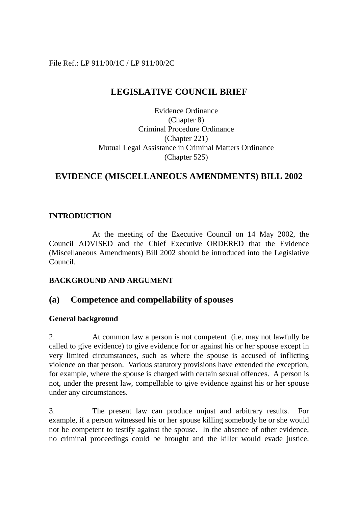### File Ref.: LP 911/00/1C / LP 911/00/2C

# **LEGISLATIVE COUNCIL BRIEF**

Evidence Ordinance (Chapter 8) Criminal Procedure Ordinance (Chapter 221) Mutual Legal Assistance in Criminal Matters Ordinance (Chapter 525)

# **EVIDENCE (MISCELLANEOUS AMENDMENTS) BILL 2002**

#### **INTRODUCTION**

At the meeting of the Executive Council on 14 May 2002, the Council ADVISED and the Chief Executive ORDERED that the Evidence (Miscellaneous Amendments) Bill 2002 should be introduced into the Legislative Council.

#### **BACKGROUND AND ARGUMENT**

## **(a) Competence and compellability of spouses**

#### **General background**

2. At common law a person is not competent (i.e. may not lawfully be called to give evidence) to give evidence for or against his or her spouse except in very limited circumstances, such as where the spouse is accused of inflicting violence on that person. Various statutory provisions have extended the exception, for example, where the spouse is charged with certain sexual offences. A person is not, under the present law, compellable to give evidence against his or her spouse under any circumstances.

3. The present law can produce unjust and arbitrary results. For example, if a person witnessed his or her spouse killing somebody he or she would not be competent to testify against the spouse. In the absence of other evidence, no criminal proceedings could be brought and the killer would evade justice.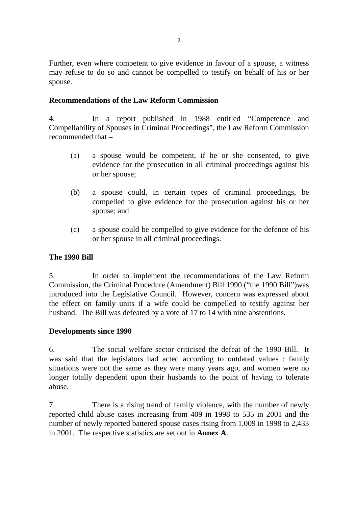Further, even where competent to give evidence in favour of a spouse, a witness may refuse to do so and cannot be compelled to testify on behalf of his or her spouse.

#### **Recommendations of the Law Reform Commission**

4. In a report published in 1988 entitled "Competence and Compellability of Spouses in Criminal Proceedings", the Law Reform Commission recommended that –

- (a) a spouse would be competent, if he or she consented, to give evidence for the prosecution in all criminal proceedings against his or her spouse;
- (b) a spouse could, in certain types of criminal proceedings, be compelled to give evidence for the prosecution against his or her spouse; and
- (c) a spouse could be compelled to give evidence for the defence of his or her spouse in all criminal proceedings.

#### **The 1990 Bill**

5. In order to implement the recommendations of the Law Reform Commission, the Criminal Procedure (Amendment) Bill 1990 ("the 1990 Bill")was introduced into the Legislative Council. However, concern was expressed about the effect on family units if a wife could be compelled to testify against her husband. The Bill was defeated by a vote of 17 to 14 with nine abstentions.

#### **Developments since 1990**

6. The social welfare sector criticised the defeat of the 1990 Bill. It was said that the legislators had acted according to outdated values : family situations were not the same as they were many years ago, and women were no longer totally dependent upon their husbands to the point of having to tolerate abuse.

7. There is a rising trend of family violence, with the number of newly reported child abuse cases increasing from 409 in 1998 to 535 in 2001 and the number of newly reported battered spouse cases rising from 1,009 in 1998 to 2,433 in 2001. The respective statistics are set out in **Annex A**.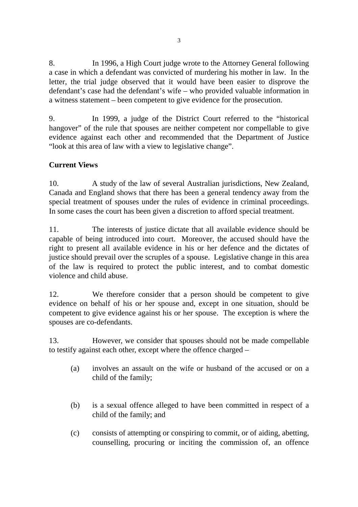8. In 1996, a High Court judge wrote to the Attorney General following a case in which a defendant was convicted of murdering his mother in law. In the letter, the trial judge observed that it would have been easier to disprove the defendant's case had the defendant's wife – who provided valuable information in a witness statement – been competent to give evidence for the prosecution.

9. In 1999, a judge of the District Court referred to the "historical hangover" of the rule that spouses are neither competent nor compellable to give evidence against each other and recommended that the Department of Justice "look at this area of law with a view to legislative change".

# **Current Views**

10. A study of the law of several Australian jurisdictions, New Zealand, Canada and England shows that there has been a general tendency away from the special treatment of spouses under the rules of evidence in criminal proceedings. In some cases the court has been given a discretion to afford special treatment.

11. The interests of justice dictate that all available evidence should be capable of being introduced into court. Moreover, the accused should have the right to present all available evidence in his or her defence and the dictates of justice should prevail over the scruples of a spouse. Legislative change in this area of the law is required to protect the public interest, and to combat domestic violence and child abuse.

12. We therefore consider that a person should be competent to give evidence on behalf of his or her spouse and, except in one situation, should be competent to give evidence against his or her spouse. The exception is where the spouses are co-defendants.

13. However, we consider that spouses should not be made compellable to testify against each other, except where the offence charged –

- (a) involves an assault on the wife or husband of the accused or on a child of the family;
- (b) is a sexual offence alleged to have been committed in respect of a child of the family; and
- (c) consists of attempting or conspiring to commit, or of aiding, abetting, counselling, procuring or inciting the commission of, an offence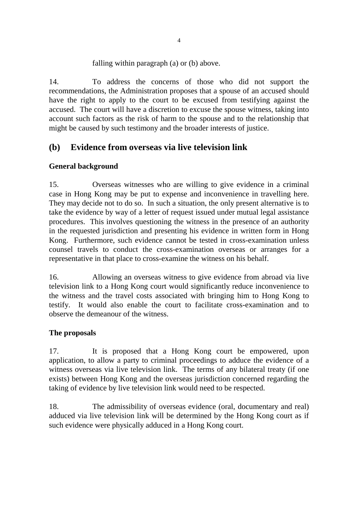### falling within paragraph (a) or (b) above.

14. To address the concerns of those who did not support the recommendations, the Administration proposes that a spouse of an accused should have the right to apply to the court to be excused from testifying against the accused. The court will have a discretion to excuse the spouse witness, taking into account such factors as the risk of harm to the spouse and to the relationship that might be caused by such testimony and the broader interests of justice.

# **(b) Evidence from overseas via live television link**

## **General background**

15. Overseas witnesses who are willing to give evidence in a criminal case in Hong Kong may be put to expense and inconvenience in travelling here. They may decide not to do so. In such a situation, the only present alternative is to take the evidence by way of a letter of request issued under mutual legal assistance procedures. This involves questioning the witness in the presence of an authority in the requested jurisdiction and presenting his evidence in written form in Hong Kong. Furthermore, such evidence cannot be tested in cross-examination unless counsel travels to conduct the cross-examination overseas or arranges for a representative in that place to cross-examine the witness on his behalf.

16. Allowing an overseas witness to give evidence from abroad via live television link to a Hong Kong court would significantly reduce inconvenience to the witness and the travel costs associated with bringing him to Hong Kong to testify. It would also enable the court to facilitate cross-examination and to observe the demeanour of the witness.

#### **The proposals**

17. It is proposed that a Hong Kong court be empowered, upon application, to allow a party to criminal proceedings to adduce the evidence of a witness overseas via live television link. The terms of any bilateral treaty (if one exists) between Hong Kong and the overseas jurisdiction concerned regarding the taking of evidence by live television link would need to be respected.

18. The admissibility of overseas evidence (oral, documentary and real) adduced via live television link will be determined by the Hong Kong court as if such evidence were physically adduced in a Hong Kong court.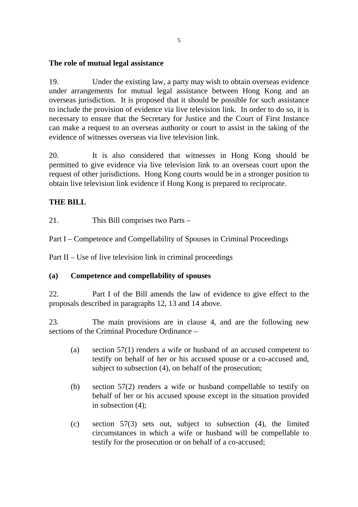#### **The role of mutual legal assistance**

19. Under the existing law, a party may wish to obtain overseas evidence under arrangements for mutual legal assistance between Hong Kong and an overseas jurisdiction. It is proposed that it should be possible for such assistance to include the provision of evidence via live television link. In order to do so, it is necessary to ensure that the Secretary for Justice and the Court of First Instance can make a request to an overseas authority or court to assist in the taking of the evidence of witnesses overseas via live television link.

20. It is also considered that witnesses in Hong Kong should be permitted to give evidence via live television link to an overseas court upon the request of other jurisdictions. Hong Kong courts would be in a stronger position to obtain live television link evidence if Hong Kong is prepared to reciprocate.

#### **THE BILL**

21. This Bill comprises two Parts –

Part I – Competence and Compellability of Spouses in Criminal Proceedings

Part II – Use of live television link in criminal proceedings

#### **(a) Competence and compellability of spouses**

22. Part I of the Bill amends the law of evidence to give effect to the proposals described in paragraphs 12, 13 and 14 above.

23. The main provisions are in clause 4, and are the following new sections of the Criminal Procedure Ordinance –

- (a) section 57(1) renders a wife or husband of an accused competent to testify on behalf of her or his accused spouse or a co-accused and, subject to subsection (4), on behalf of the prosecution;
- (b) section 57(2) renders a wife or husband compellable to testify on behalf of her or his accused spouse except in the situation provided in subsection (4);
- (c) section 57(3) sets out, subject to subsection (4), the limited circumstances in which a wife or husband will be compellable to testify for the prosecution or on behalf of a co-accused;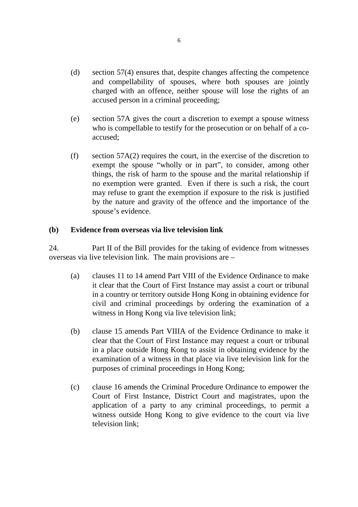- (d) section 57(4) ensures that, despite changes affecting the competence and compellability of spouses, where both spouses are jointly charged with an offence, neither spouse will lose the rights of an accused person in a criminal proceeding;
- (e) section 57A gives the court a discretion to exempt a spouse witness who is compellable to testify for the prosecution or on behalf of a coaccused;
- (f) section 57A(2) requires the court, in the exercise of the discretion to exempt the spouse "wholly or in part", to consider, among other things, the risk of harm to the spouse and the marital relationship if no exemption were granted. Even if there is such a risk, the court may refuse to grant the exemption if exposure to the risk is justified by the nature and gravity of the offence and the importance of the spouse's evidence.

#### **(b) Evidence from overseas via live television link**

24. Part II of the Bill provides for the taking of evidence from witnesses overseas via live television link. The main provisions are –

- (a) clauses 11 to 14 amend Part VIII of the Evidence Ordinance to make it clear that the Court of First Instance may assist a court or tribunal in a country or territory outside Hong Kong in obtaining evidence for civil and criminal proceedings by ordering the examination of a witness in Hong Kong via live television link;
- (b) clause 15 amends Part VIIIA of the Evidence Ordinance to make it clear that the Court of First Instance may request a court or tribunal in a place outside Hong Kong to assist in obtaining evidence by the examination of a witness in that place via live television link for the purposes of criminal proceedings in Hong Kong;
- (c) clause 16 amends the Criminal Procedure Ordinance to empower the Court of First Instance, District Court and magistrates, upon the application of a party to any criminal proceedings, to permit a witness outside Hong Kong to give evidence to the court via live television link;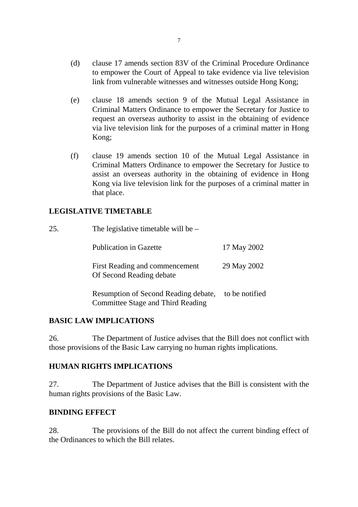- (d) clause 17 amends section 83V of the Criminal Procedure Ordinance to empower the Court of Appeal to take evidence via live television link from vulnerable witnesses and witnesses outside Hong Kong;
- (e) clause 18 amends section 9 of the Mutual Legal Assistance in Criminal Matters Ordinance to empower the Secretary for Justice to request an overseas authority to assist in the obtaining of evidence via live television link for the purposes of a criminal matter in Hong Kong;
- (f) clause 19 amends section 10 of the Mutual Legal Assistance in Criminal Matters Ordinance to empower the Secretary for Justice to assist an overseas authority in the obtaining of evidence in Hong Kong via live television link for the purposes of a criminal matter in that place.

#### **LEGISLATIVE TIMETABLE**

| 25. | The legislative timetable will be $-$                                     |                |  |  |  |  |
|-----|---------------------------------------------------------------------------|----------------|--|--|--|--|
|     | <b>Publication in Gazette</b>                                             | 17 May 2002    |  |  |  |  |
|     | First Reading and commencement<br>Of Second Reading debate                | 29 May 2002    |  |  |  |  |
|     | Resumption of Second Reading debate,<br>Committee Stage and Third Reading | to be notified |  |  |  |  |

## **BASIC LAW IMPLICATIONS**

26. The Department of Justice advises that the Bill does not conflict with those provisions of the Basic Law carrying no human rights implications.

#### **HUMAN RIGHTS IMPLICATIONS**

27. The Department of Justice advises that the Bill is consistent with the human rights provisions of the Basic Law.

## **BINDING EFFECT**

28. The provisions of the Bill do not affect the current binding effect of the Ordinances to which the Bill relates.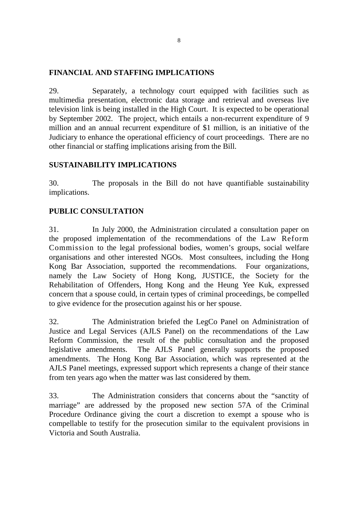### **FINANCIAL AND STAFFING IMPLICATIONS**

29. Separately, a technology court equipped with facilities such as multimedia presentation, electronic data storage and retrieval and overseas live television link is being installed in the High Court. It is expected to be operational by September 2002. The project, which entails a non-recurrent expenditure of 9 million and an annual recurrent expenditure of \$1 million, is an initiative of the Judiciary to enhance the operational efficiency of court proceedings. There are no other financial or staffing implications arising from the Bill.

## **SUSTAINABILITY IMPLICATIONS**

30. The proposals in the Bill do not have quantifiable sustainability implications.

## **PUBLIC CONSULTATION**

31. In July 2000, the Administration circulated a consultation paper on the proposed implementation of the recommendations of the Law Reform Commission to the legal professional bodies, women's groups, social welfare organisations and other interested NGOs. Most consultees, including the Hong Kong Bar Association, supported the recommendations. Four organizations, namely the Law Society of Hong Kong, JUSTICE, the Society for the Rehabilitation of Offenders, Hong Kong and the Heung Yee Kuk, expressed concern that a spouse could, in certain types of criminal proceedings, be compelled to give evidence for the prosecution against his or her spouse.

32. The Administration briefed the LegCo Panel on Administration of Justice and Legal Services (AJLS Panel) on the recommendations of the Law Reform Commission, the result of the public consultation and the proposed legislative amendments. The AJLS Panel generally supports the proposed amendments. The Hong Kong Bar Association, which was represented at the AJLS Panel meetings, expressed support which represents a change of their stance from ten years ago when the matter was last considered by them.

33. The Administration considers that concerns about the "sanctity of marriage" are addressed by the proposed new section 57A of the Criminal Procedure Ordinance giving the court a discretion to exempt a spouse who is compellable to testify for the prosecution similar to the equivalent provisions in Victoria and South Australia.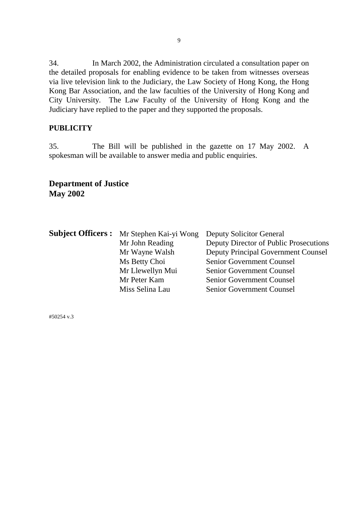34. In March 2002, the Administration circulated a consultation paper on the detailed proposals for enabling evidence to be taken from witnesses overseas via live television link to the Judiciary, the Law Society of Hong Kong, the Hong Kong Bar Association, and the law faculties of the University of Hong Kong and City University. The Law Faculty of the University of Hong Kong and the Judiciary have replied to the paper and they supported the proposals.

## **PUBLICITY**

35. The Bill will be published in the gazette on 17 May 2002. A spokesman will be available to answer media and public enquiries.

## **Department of Justice May 2002**

| <b>Subject Officers :</b> Mr Stephen Kai-yi Wong | <b>Deputy Solicitor General</b>            |  |  |
|--------------------------------------------------|--------------------------------------------|--|--|
| Mr John Reading                                  | Deputy Director of Public Prosecutions     |  |  |
| Mr Wayne Walsh                                   | <b>Deputy Principal Government Counsel</b> |  |  |
| Ms Betty Choi                                    | <b>Senior Government Counsel</b>           |  |  |
| Mr Llewellyn Mui                                 | <b>Senior Government Counsel</b>           |  |  |
| Mr Peter Kam                                     | Senior Government Counsel                  |  |  |
| Miss Selina Lau                                  | <b>Senior Government Counsel</b>           |  |  |

#50254 v.3